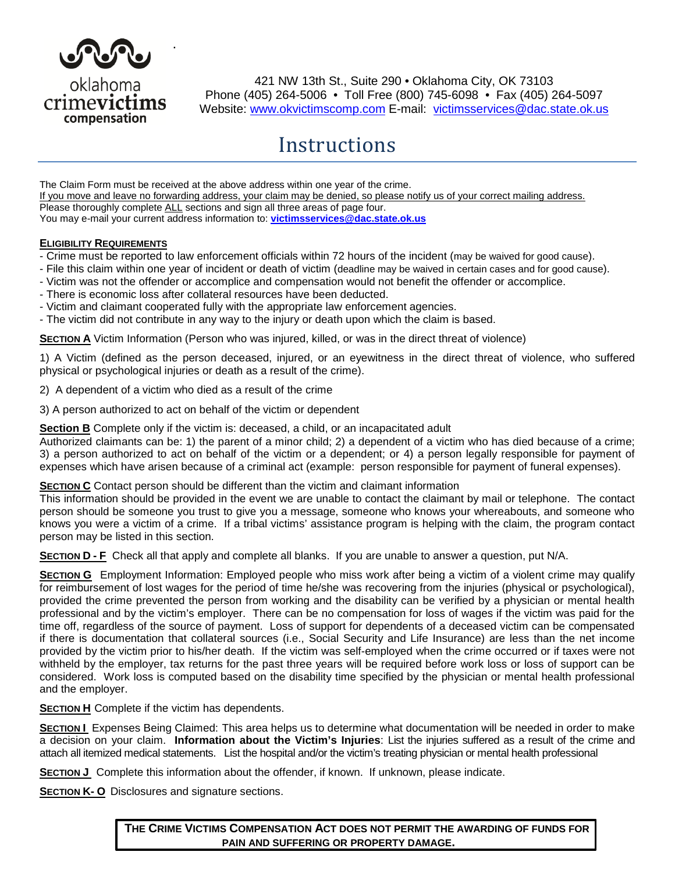

**.**

421 NW 13th St., Suite 290 • Oklahoma City, OK 73103 Phone (405) 264-5006 • Toll Free (800) 745-6098 • Fax (405) 264-5097 Website: [www.okvictimscomp.com](http://www.okvictimscomp.com/) E-mail: [victimsservices@dac.state.ok.us](mailto:victimsservices@dac.state.ok.us)

# **Instructions**

The Claim Form must be received at the above address within one year of the crime. If you move and leave no forwarding address, your claim may be denied, so please notify us of your correct mailing address. Please thoroughly complete ALL sections and sign all three areas of page four. You may e-mail your current address information to: **[victimsservices@dac.state.ok.us](mailto:victimsservices@dac.state.ok.us)**

#### **ELIGIBILITY REQUIREMENTS**

- Crime must be reported to law enforcement officials within 72 hours of the incident (may be waived for good cause).
- File this claim within one year of incident or death of victim (deadline may be waived in certain cases and for good cause).
- Victim was not the offender or accomplice and compensation would not benefit the offender or accomplice.
- There is economic loss after collateral resources have been deducted.
- Victim and claimant cooperated fully with the appropriate law enforcement agencies.
- The victim did not contribute in any way to the injury or death upon which the claim is based.

**SECTION A** Victim Information (Person who was injured, killed, or was in the direct threat of violence)

1) A Victim (defined as the person deceased, injured, or an eyewitness in the direct threat of violence, who suffered physical or psychological injuries or death as a result of the crime).

2) A dependent of a victim who died as a result of the crime

3) A person authorized to act on behalf of the victim or dependent

**Section B** Complete only if the victim is: deceased, a child, or an incapacitated adult

Authorized claimants can be: 1) the parent of a minor child; 2) a dependent of a victim who has died because of a crime; 3) a person authorized to act on behalf of the victim or a dependent; or 4) a person legally responsible for payment of expenses which have arisen because of a criminal act (example: person responsible for payment of funeral expenses).

#### **SECTION C** Contact person should be different than the victim and claimant information

This information should be provided in the event we are unable to contact the claimant by mail or telephone. The contact person should be someone you trust to give you a message, someone who knows your whereabouts, and someone who knows you were a victim of a crime. If a tribal victims' assistance program is helping with the claim, the program contact person may be listed in this section.

**SECTION D - F** Check all that apply and complete all blanks. If you are unable to answer a question, put N/A.

**SECTION G** Employment Information: Employed people who miss work after being a victim of a violent crime may qualify for reimbursement of lost wages for the period of time he/she was recovering from the injuries (physical or psychological), provided the crime prevented the person from working and the disability can be verified by a physician or mental health professional and by the victim's employer. There can be no compensation for loss of wages if the victim was paid for the time off, regardless of the source of payment. Loss of support for dependents of a deceased victim can be compensated if there is documentation that collateral sources (i.e., Social Security and Life Insurance) are less than the net income provided by the victim prior to his/her death. If the victim was self-employed when the crime occurred or if taxes were not withheld by the employer, tax returns for the past three years will be required before work loss or loss of support can be considered. Work loss is computed based on the disability time specified by the physician or mental health professional and the employer.

**SECTION H** Complete if the victim has dependents.

**SECTION I** Expenses Being Claimed: This area helps us to determine what documentation will be needed in order to make a decision on your claim. **Information about the Victim's Injuries**: List the injuries suffered as a result of the crime and attach all itemized medical statements. List the hospital and/or the victim's treating physician or mental health professional

**SECTION J** Complete this information about the offender, if known. If unknown, please indicate.

**SECTION K- O** Disclosures and signature sections.

**THE CRIME VICTIMS COMPENSATION ACT DOES NOT PERMIT THE AWARDING OF FUNDS FOR PAIN AND SUFFERING OR PROPERTY DAMAGE.**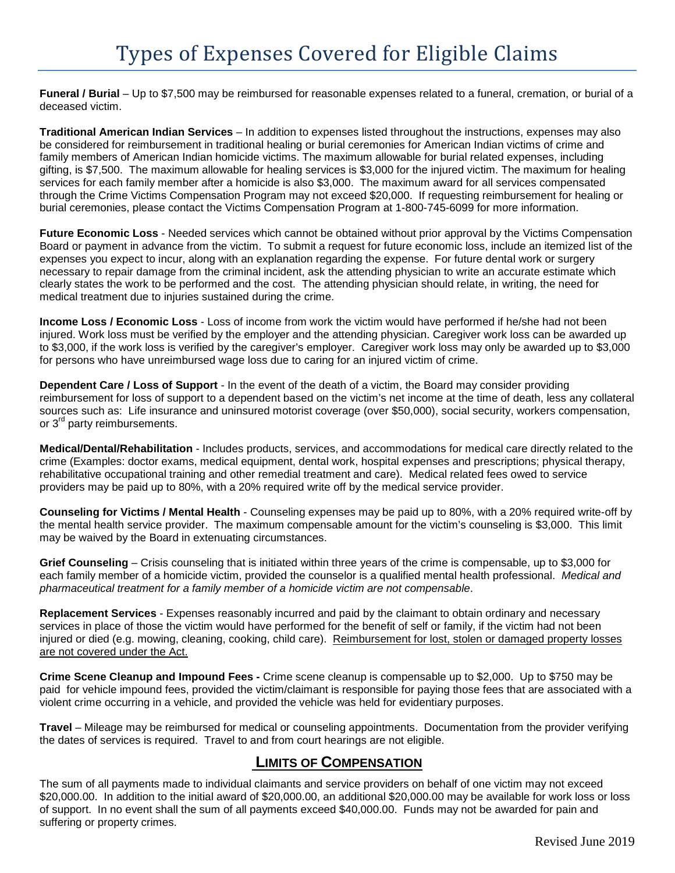**Funeral / Burial** – Up to \$7,500 may be reimbursed for reasonable expenses related to a funeral, cremation, or burial of a deceased victim.

**Traditional American Indian Services** – In addition to expenses listed throughout the instructions, expenses may also be considered for reimbursement in traditional healing or burial ceremonies for American Indian victims of crime and family members of American Indian homicide victims. The maximum allowable for burial related expenses, including gifting, is \$7,500. The maximum allowable for healing services is \$3,000 for the injured victim. The maximum for healing services for each family member after a homicide is also \$3,000. The maximum award for all services compensated through the Crime Victims Compensation Program may not exceed \$20,000. If requesting reimbursement for healing or burial ceremonies, please contact the Victims Compensation Program at 1-800-745-6099 for more information.

**Future Economic Loss** - Needed services which cannot be obtained without prior approval by the Victims Compensation Board or payment in advance from the victim. To submit a request for future economic loss, include an itemized list of the expenses you expect to incur, along with an explanation regarding the expense. For future dental work or surgery necessary to repair damage from the criminal incident, ask the attending physician to write an accurate estimate which clearly states the work to be performed and the cost. The attending physician should relate, in writing, the need for medical treatment due to injuries sustained during the crime.

**Income Loss / Economic Loss** - Loss of income from work the victim would have performed if he/she had not been injured. Work loss must be verified by the employer and the attending physician. Caregiver work loss can be awarded up to \$3,000, if the work loss is verified by the caregiver's employer. Caregiver work loss may only be awarded up to \$3,000 for persons who have unreimbursed wage loss due to caring for an injured victim of crime.

**Dependent Care / Loss of Support** - In the event of the death of a victim, the Board may consider providing reimbursement for loss of support to a dependent based on the victim's net income at the time of death, less any collateral sources such as: Life insurance and uninsured motorist coverage (over \$50,000), social security, workers compensation, or 3<sup>rd</sup> party reimbursements.

**Medical/Dental/Rehabilitation** - Includes products, services, and accommodations for medical care directly related to the crime (Examples: doctor exams, medical equipment, dental work, hospital expenses and prescriptions; physical therapy, rehabilitative occupational training and other remedial treatment and care). Medical related fees owed to service providers may be paid up to 80%, with a 20% required write off by the medical service provider.

**Counseling for Victims / Mental Health** - Counseling expenses may be paid up to 80%, with a 20% required write-off by the mental health service provider. The maximum compensable amount for the victim's counseling is \$3,000. This limit may be waived by the Board in extenuating circumstances.

**Grief Counseling** – Crisis counseling that is initiated within three years of the crime is compensable, up to \$3,000 for each family member of a homicide victim, provided the counselor is a qualified mental health professional. *Medical and pharmaceutical treatment for a family member of a homicide victim are not compensable*.

**Replacement Services** - Expenses reasonably incurred and paid by the claimant to obtain ordinary and necessary services in place of those the victim would have performed for the benefit of self or family, if the victim had not been injured or died (e.g. mowing, cleaning, cooking, child care). Reimbursement for lost, stolen or damaged property losses are not covered under the Act.

**Crime Scene Cleanup and Impound Fees -** Crime scene cleanup is compensable up to \$2,000. Up to \$750 may be paid for vehicle impound fees, provided the victim/claimant is responsible for paying those fees that are associated with a violent crime occurring in a vehicle, and provided the vehicle was held for evidentiary purposes.

**Travel** – Mileage may be reimbursed for medical or counseling appointments. Documentation from the provider verifying the dates of services is required. Travel to and from court hearings are not eligible.

# **LIMITS OF COMPENSATION**

The sum of all payments made to individual claimants and service providers on behalf of one victim may not exceed \$20,000.00. In addition to the initial award of \$20,000.00, an additional \$20,000.00 may be available for work loss or loss of support. In no event shall the sum of all payments exceed \$40,000.00. Funds may not be awarded for pain and suffering or property crimes.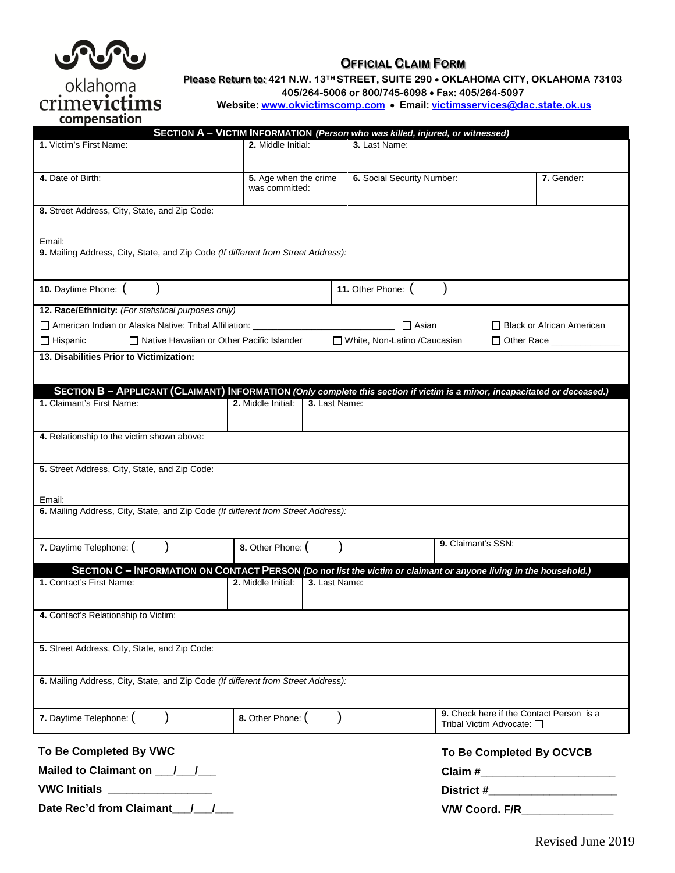

oklahoma

## **OFFICIAL CLAIM FORM**

**Please Return to: 421 N.W. 13TH STREET, SUITE 290** • **OKLAHOMA CITY, OKLAHOMA 73103**

**405/264-5006 or 800/745-6098** • **Fax: 405/264-5097**

**Website: [www.okvictimscomp.com](http://www.okvictimscomp.com/)** • **Email: [victimsservices@dac.state.ok.us](mailto:victims.services@dac.state.ok.us)**

tims  $\overline{C}$ compensation

| ----<br>SECTION A - VICTIM INFORMATION (Person who was killed, injured, or witnessed)                                      |                                     |                                                                                                                   |                                  |  |  |
|----------------------------------------------------------------------------------------------------------------------------|-------------------------------------|-------------------------------------------------------------------------------------------------------------------|----------------------------------|--|--|
| 1. Victim's First Name:                                                                                                    | 2. Middle Initial:                  | 3. Last Name:                                                                                                     |                                  |  |  |
|                                                                                                                            |                                     |                                                                                                                   |                                  |  |  |
| 4. Date of Birth:                                                                                                          | 5. Age when the crime               | 6. Social Security Number:                                                                                        | 7. Gender:                       |  |  |
|                                                                                                                            | was committed:                      |                                                                                                                   |                                  |  |  |
| 8. Street Address, City, State, and Zip Code:                                                                              |                                     |                                                                                                                   |                                  |  |  |
|                                                                                                                            |                                     |                                                                                                                   |                                  |  |  |
| Email:                                                                                                                     |                                     |                                                                                                                   |                                  |  |  |
| 9. Mailing Address, City, State, and Zip Code (If different from Street Address):                                          |                                     |                                                                                                                   |                                  |  |  |
|                                                                                                                            |                                     |                                                                                                                   |                                  |  |  |
| 10. Daytime Phone: (                                                                                                       | 11. Other Phone: (                  |                                                                                                                   |                                  |  |  |
| 12. Race/Ethnicity: (For statistical purposes only)                                                                        |                                     |                                                                                                                   |                                  |  |  |
| American Indian or Alaska Native: Tribal Affiliation: _______________                                                      |                                     | $\Box$ Asian                                                                                                      | $\Box$ Black or African American |  |  |
| $\Box$ Hispanic<br>□ Native Hawaiian or Other Pacific Islander                                                             |                                     | □ White, Non-Latino /Caucasian                                                                                    | $\Box$ Other Race $\Box$         |  |  |
| 13. Disabilities Prior to Victimization:                                                                                   |                                     |                                                                                                                   |                                  |  |  |
|                                                                                                                            |                                     |                                                                                                                   |                                  |  |  |
| SECTION B - APPLICANT (CLAIMANT) INFORMATION (Only complete this section if victim is a minor, incapacitated or deceased.) |                                     |                                                                                                                   |                                  |  |  |
| 1. Claimant's First Name:                                                                                                  | 2. Middle Initial:<br>3. Last Name: |                                                                                                                   |                                  |  |  |
|                                                                                                                            |                                     |                                                                                                                   |                                  |  |  |
| 4. Relationship to the victim shown above:                                                                                 |                                     |                                                                                                                   |                                  |  |  |
|                                                                                                                            |                                     |                                                                                                                   |                                  |  |  |
| 5. Street Address, City, State, and Zip Code:                                                                              |                                     |                                                                                                                   |                                  |  |  |
|                                                                                                                            |                                     |                                                                                                                   |                                  |  |  |
| Email:                                                                                                                     |                                     |                                                                                                                   |                                  |  |  |
| 6. Mailing Address, City, State, and Zip Code (If different from Street Address):                                          |                                     |                                                                                                                   |                                  |  |  |
|                                                                                                                            |                                     |                                                                                                                   |                                  |  |  |
| 7. Daytime Telephone: (                                                                                                    | 8. Other Phone: (                   | 9. Claimant's SSN:                                                                                                |                                  |  |  |
|                                                                                                                            |                                     |                                                                                                                   |                                  |  |  |
| 1. Contact's First Name:                                                                                                   | 2. Middle Initial:<br>3. Last Name: | SECTION C - INFORMATION ON CONTACT PERSON (Do not list the victim or claimant or anyone living in the household.) |                                  |  |  |
|                                                                                                                            |                                     |                                                                                                                   |                                  |  |  |
|                                                                                                                            |                                     |                                                                                                                   |                                  |  |  |
| 4. Contact's Relationship to Victim:                                                                                       |                                     |                                                                                                                   |                                  |  |  |
|                                                                                                                            |                                     |                                                                                                                   |                                  |  |  |
| 5. Street Address, City, State, and Zip Code:                                                                              |                                     |                                                                                                                   |                                  |  |  |
|                                                                                                                            |                                     |                                                                                                                   |                                  |  |  |
| 6. Mailing Address, City, State, and Zip Code (If different from Street Address):                                          |                                     |                                                                                                                   |                                  |  |  |
|                                                                                                                            |                                     |                                                                                                                   |                                  |  |  |
| 7. Daytime Telephone: (                                                                                                    | 8. Other Phone: (                   | 9. Check here if the Contact Person is a<br>Tribal Victim Advocate: □                                             |                                  |  |  |
| To Be Completed By VWC                                                                                                     |                                     | To Be Completed By OCVCB                                                                                          |                                  |  |  |
|                                                                                                                            |                                     |                                                                                                                   |                                  |  |  |
|                                                                                                                            |                                     |                                                                                                                   |                                  |  |  |
| Date Rec'd from Claimant /                                                                                                 |                                     |                                                                                                                   |                                  |  |  |
|                                                                                                                            |                                     | V/W Coord. F/R_________                                                                                           |                                  |  |  |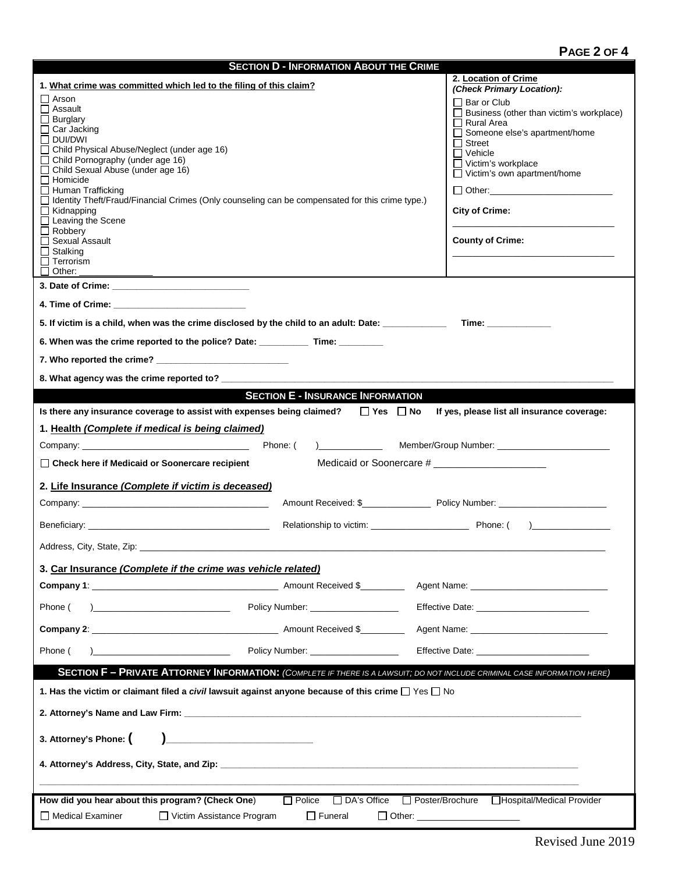# **PAGE 2 OF 4**

| <b>SECTION D - INFORMATION ABOUT THE CRIME</b>                                                                                                                                                                                                                                                                                                                                                                                                                                                                                  |                                                                                                                                                                                                                                                                                              |  |  |  |
|---------------------------------------------------------------------------------------------------------------------------------------------------------------------------------------------------------------------------------------------------------------------------------------------------------------------------------------------------------------------------------------------------------------------------------------------------------------------------------------------------------------------------------|----------------------------------------------------------------------------------------------------------------------------------------------------------------------------------------------------------------------------------------------------------------------------------------------|--|--|--|
| 1. What crime was committed which led to the filing of this claim?                                                                                                                                                                                                                                                                                                                                                                                                                                                              | 2. Location of Crime<br>(Check Primary Location):                                                                                                                                                                                                                                            |  |  |  |
| $\Box$ Arson<br>$\Box$ Assault<br>$\Box$ Burglary<br>$\Box$ Car Jacking<br>$\Box$ DUI/DWI<br>□ Child Physical Abuse/Neglect (under age 16)<br>$\Box$ Child Pornography (under age 16)<br>□ Child Sexual Abuse (under age 16)<br>$\Box$ Homicide<br>$\Box$ Human Trafficking<br>□ Identity Theft/Fraud/Financial Crimes (Only counseling can be compensated for this crime type.)<br>$\Box$ Kidnapping<br>$\Box$ Leaving the Scene<br>$\Box$ Robbery<br>□ Sexual Assault<br>$\Box$ Stalking<br>$\Box$ Terrorism<br>$\Box$ Other: | Bar or Club<br>$\Box$ Business (other than victim's workplace)<br>$\Box$ Rural Area<br>□ Someone else's apartment/home<br>$\Box$ Street<br>$\Box$ Vehicle<br>□ Victim's workplace<br>$\Box$ Victim's own apartment/home<br>$\Box$ Other:<br><b>City of Crime:</b><br><b>County of Crime:</b> |  |  |  |
|                                                                                                                                                                                                                                                                                                                                                                                                                                                                                                                                 |                                                                                                                                                                                                                                                                                              |  |  |  |
| 4. Time of Crime: And The Second Second Second Second Second Second Second Second Second Second Second Second Second Second Second Second Second Second Second Second Second Second Second Second Second Second Second Second                                                                                                                                                                                                                                                                                                   |                                                                                                                                                                                                                                                                                              |  |  |  |
| 5. If victim is a child, when was the crime disclosed by the child to an adult: Date:                                                                                                                                                                                                                                                                                                                                                                                                                                           | <b>Time:</b> the contract of the contract of the contract of the contract of the contract of the contract of the contract of the contract of the contract of the contract of the contract of the contract of the contract of the co                                                          |  |  |  |
| 6. When was the crime reported to the police? Date: ____________ Time: _________                                                                                                                                                                                                                                                                                                                                                                                                                                                |                                                                                                                                                                                                                                                                                              |  |  |  |
|                                                                                                                                                                                                                                                                                                                                                                                                                                                                                                                                 |                                                                                                                                                                                                                                                                                              |  |  |  |
|                                                                                                                                                                                                                                                                                                                                                                                                                                                                                                                                 |                                                                                                                                                                                                                                                                                              |  |  |  |
| <b>SECTION E - INSURANCE INFORMATION</b>                                                                                                                                                                                                                                                                                                                                                                                                                                                                                        |                                                                                                                                                                                                                                                                                              |  |  |  |
| Is there any insurance coverage to assist with expenses being claimed? $\square$ Yes $\square$ No                                                                                                                                                                                                                                                                                                                                                                                                                               | If yes, please list all insurance coverage:                                                                                                                                                                                                                                                  |  |  |  |
| 1. Health (Complete if medical is being claimed)                                                                                                                                                                                                                                                                                                                                                                                                                                                                                |                                                                                                                                                                                                                                                                                              |  |  |  |
| □ Check here if Medicaid or Soonercare recipient                                                                                                                                                                                                                                                                                                                                                                                                                                                                                |                                                                                                                                                                                                                                                                                              |  |  |  |
| Medicaid or Soonercare # _______________________                                                                                                                                                                                                                                                                                                                                                                                                                                                                                |                                                                                                                                                                                                                                                                                              |  |  |  |
| 2. Life Insurance (Complete if victim is deceased)                                                                                                                                                                                                                                                                                                                                                                                                                                                                              |                                                                                                                                                                                                                                                                                              |  |  |  |
|                                                                                                                                                                                                                                                                                                                                                                                                                                                                                                                                 |                                                                                                                                                                                                                                                                                              |  |  |  |
|                                                                                                                                                                                                                                                                                                                                                                                                                                                                                                                                 |                                                                                                                                                                                                                                                                                              |  |  |  |
| Address, City, State, Zip:                                                                                                                                                                                                                                                                                                                                                                                                                                                                                                      |                                                                                                                                                                                                                                                                                              |  |  |  |
| 3. Car Insurance (Complete if the crime was vehicle related)                                                                                                                                                                                                                                                                                                                                                                                                                                                                    |                                                                                                                                                                                                                                                                                              |  |  |  |
|                                                                                                                                                                                                                                                                                                                                                                                                                                                                                                                                 |                                                                                                                                                                                                                                                                                              |  |  |  |
| Policy Number: __________________<br>Phone (                                                                                                                                                                                                                                                                                                                                                                                                                                                                                    |                                                                                                                                                                                                                                                                                              |  |  |  |
|                                                                                                                                                                                                                                                                                                                                                                                                                                                                                                                                 |                                                                                                                                                                                                                                                                                              |  |  |  |
| Policy Number: ___________________<br>Phone (                                                                                                                                                                                                                                                                                                                                                                                                                                                                                   | Effective Date: The Contract of the Contract of the Contract of the Contract of the Contract of the Contract of the Contract of the Contract of the Contract of the Contract of the Contract of the Contract of the Contract o                                                               |  |  |  |
| <b>SECTION F - PRIVATE ATTORNEY INFORMATION:</b> (COMPLETE IF THERE IS A LAWSUIT; DO NOT INCLUDE CRIMINAL CASE INFORMATION HERE)                                                                                                                                                                                                                                                                                                                                                                                                |                                                                                                                                                                                                                                                                                              |  |  |  |
| 1. Has the victim or claimant filed a civil lawsuit against anyone because of this crime $\Box$ Yes $\Box$ No                                                                                                                                                                                                                                                                                                                                                                                                                   |                                                                                                                                                                                                                                                                                              |  |  |  |
|                                                                                                                                                                                                                                                                                                                                                                                                                                                                                                                                 |                                                                                                                                                                                                                                                                                              |  |  |  |
| 3. Attorney's Phone: (<br><u> 1980 - Andrea Andrew Maria (h. 1980).</u>                                                                                                                                                                                                                                                                                                                                                                                                                                                         |                                                                                                                                                                                                                                                                                              |  |  |  |
|                                                                                                                                                                                                                                                                                                                                                                                                                                                                                                                                 |                                                                                                                                                                                                                                                                                              |  |  |  |
|                                                                                                                                                                                                                                                                                                                                                                                                                                                                                                                                 |                                                                                                                                                                                                                                                                                              |  |  |  |
| How did you hear about this program? (Check One)<br>□ Poster/Brochure □ Hospital/Medical Provider<br>$\Box$ Police<br>$\Box$ DA's Office                                                                                                                                                                                                                                                                                                                                                                                        |                                                                                                                                                                                                                                                                                              |  |  |  |
| □ Medical Examiner<br>□ Victim Assistance Program<br>$\Box$ Funeral<br>□ Other: _______________________                                                                                                                                                                                                                                                                                                                                                                                                                         |                                                                                                                                                                                                                                                                                              |  |  |  |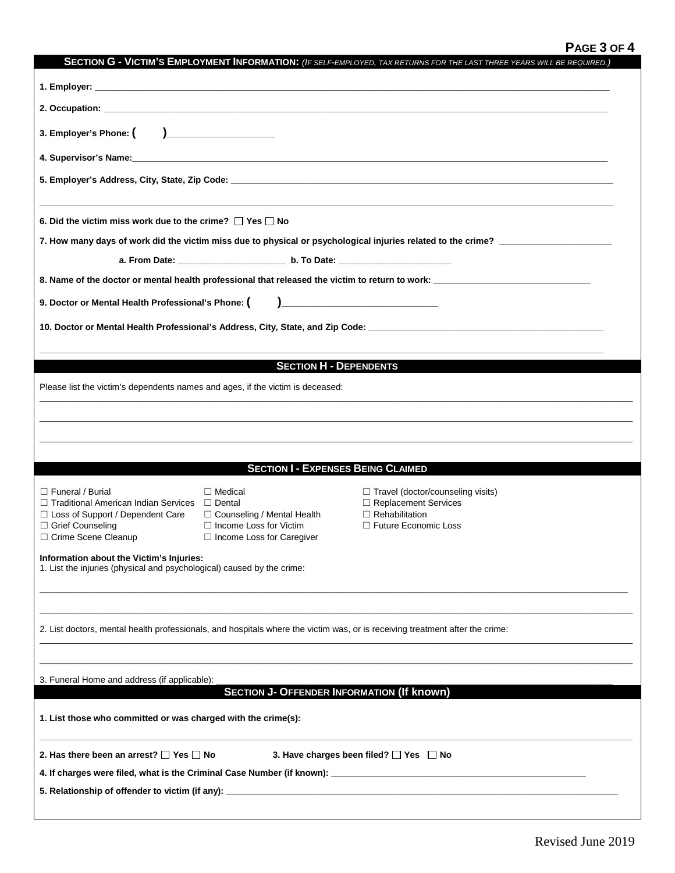# **PAGE 3 OF 4**

| SECTION G - VICTIM'S EMPLOYMENT INFORMATION: (IF SELF-EMPLOYED, TAX RETURNS FOR THE LAST THREE YEARS WILL BE REQUIRED.)                |                                                                                                                              |                                                 |  |  |  |
|----------------------------------------------------------------------------------------------------------------------------------------|------------------------------------------------------------------------------------------------------------------------------|-------------------------------------------------|--|--|--|
|                                                                                                                                        |                                                                                                                              |                                                 |  |  |  |
|                                                                                                                                        |                                                                                                                              |                                                 |  |  |  |
| 3. Employer's Phone: $\begin{pmatrix} 1 & 1 \end{pmatrix}$                                                                             |                                                                                                                              |                                                 |  |  |  |
|                                                                                                                                        |                                                                                                                              |                                                 |  |  |  |
|                                                                                                                                        |                                                                                                                              |                                                 |  |  |  |
| 6. Did the victim miss work due to the crime? $\Box$ Yes $\Box$ No                                                                     |                                                                                                                              |                                                 |  |  |  |
| 7. How many days of work did the victim miss due to physical or psychological injuries related to the crime? _________________________ |                                                                                                                              |                                                 |  |  |  |
|                                                                                                                                        |                                                                                                                              |                                                 |  |  |  |
| 9. Doctor or Mental Health Professional's Phone: (                                                                                     |                                                                                                                              |                                                 |  |  |  |
|                                                                                                                                        |                                                                                                                              |                                                 |  |  |  |
|                                                                                                                                        |                                                                                                                              |                                                 |  |  |  |
|                                                                                                                                        | <b>SECTION H - DEPENDENTS</b>                                                                                                |                                                 |  |  |  |
| Please list the victim's dependents names and ages, if the victim is deceased:                                                         |                                                                                                                              |                                                 |  |  |  |
|                                                                                                                                        |                                                                                                                              |                                                 |  |  |  |
|                                                                                                                                        |                                                                                                                              |                                                 |  |  |  |
|                                                                                                                                        |                                                                                                                              |                                                 |  |  |  |
|                                                                                                                                        | <b>SECTION I - EXPENSES BEING CLAIMED</b>                                                                                    |                                                 |  |  |  |
| $\Box$ Funeral / Burial                                                                                                                | $\Box$ Medical                                                                                                               | $\Box$ Travel (doctor/counseling visits)        |  |  |  |
| □ Traditional American Indian Services □ Dental                                                                                        |                                                                                                                              | □ Replacement Services                          |  |  |  |
| □ Loss of Support / Dependent Care<br>□ Grief Counseling                                                                               | $\Box$ Counseling / Mental Health<br>$\Box$ Income Loss for Victim                                                           | $\Box$ Rehabilitation<br>□ Future Economic Loss |  |  |  |
| □ Crime Scene Cleanup                                                                                                                  | $\Box$ Income Loss for Caregiver                                                                                             |                                                 |  |  |  |
| Information about the Victim's Injuries:<br>1. List the injuries (physical and psychological) caused by the crime:                     |                                                                                                                              |                                                 |  |  |  |
|                                                                                                                                        |                                                                                                                              |                                                 |  |  |  |
|                                                                                                                                        |                                                                                                                              |                                                 |  |  |  |
|                                                                                                                                        |                                                                                                                              |                                                 |  |  |  |
|                                                                                                                                        | 2. List doctors, mental health professionals, and hospitals where the victim was, or is receiving treatment after the crime: |                                                 |  |  |  |
|                                                                                                                                        |                                                                                                                              |                                                 |  |  |  |
| 3. Funeral Home and address (if applicable):                                                                                           |                                                                                                                              |                                                 |  |  |  |
| <b>SECTION J- OFFENDER INFORMATION (If known)</b>                                                                                      |                                                                                                                              |                                                 |  |  |  |
| 1. List those who committed or was charged with the crime(s):                                                                          |                                                                                                                              |                                                 |  |  |  |
|                                                                                                                                        |                                                                                                                              |                                                 |  |  |  |
| 2. Has there been an arrest? $\Box$ Yes $\Box$ No<br>3. Have charges been filed? □ Yes □ No                                            |                                                                                                                              |                                                 |  |  |  |
|                                                                                                                                        |                                                                                                                              |                                                 |  |  |  |
|                                                                                                                                        |                                                                                                                              |                                                 |  |  |  |